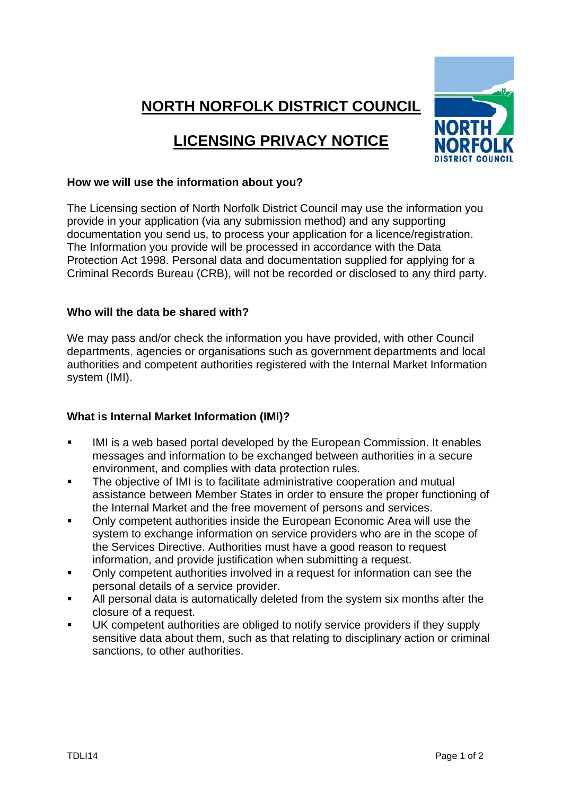# **NORTH NORFOLK DISTRICT COUNCIL**

# **LICENSING PRIVACY NOTICE**



### **How we will use the information about you?**

The Licensing section of North Norfolk District Council may use the information you provide in your application (via any submission method) and any supporting documentation you send us, to process your application for a licence/registration. The Information you provide will be processed in accordance with the Data Protection Act 1998. Personal data and documentation supplied for applying for a Criminal Records Bureau (CRB), will not be recorded or disclosed to any third party.

#### **Who will the data be shared with?**

We may pass and/or check the information you have provided, with other Council departments, agencies or organisations such as government departments and local authorities and competent authorities registered with the Internal Market Information system (IMI).

## **What is Internal Market Information (IMI)?**

- IMI is a web based portal developed by the European Commission. It enables messages and information to be exchanged between authorities in a secure environment, and complies with data protection rules.
- The objective of IMI is to facilitate administrative cooperation and mutual assistance between Member States in order to ensure the proper functioning of the Internal Market and the free movement of persons and services.
- Only competent authorities inside the European Economic Area will use the system to exchange information on service providers who are in the scope of the Services Directive. Authorities must have a good reason to request information, and provide justification when submitting a request.
- Only competent authorities involved in a request for information can see the personal details of a service provider.
- All personal data is automatically deleted from the system six months after the closure of a request.
- UK competent authorities are obliged to notify service providers if they supply sensitive data about them, such as that relating to disciplinary action or criminal sanctions, to other authorities.